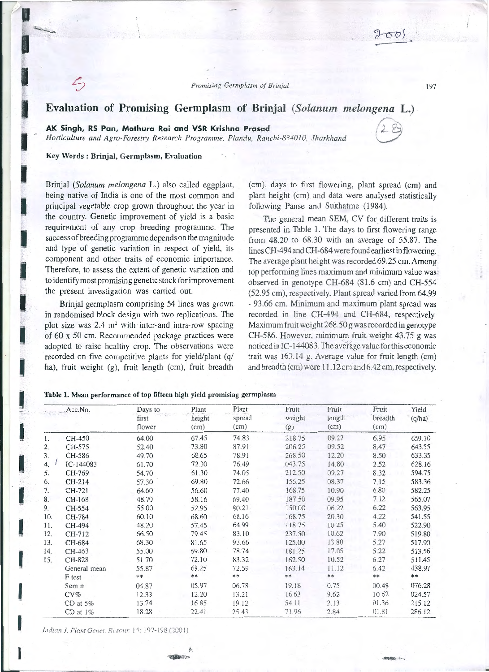# **Evaluation of Promising Germplasm of Brinjal** *(Solanum melongena* **L.)**

## **AK Singh, RS Pan, Mathura Rai and VSR Krishna Prasad**

*Horticulture and Agro-Forestry Research Programme. Plandu, Ranchi-834010, lharkhand* 



## Key Words : Brinjal, Germplasm, Evaluation

I

I

I

I

I

I

I

I

I

I

I

I

I

 $\mathbf{I}$ 

I

I

Brinjal *(Solanum melongena* L.) also called eggplant, being native of India is one of the most common and principal vegetable crop grown throughout the year in the country. Genetic improvement of yield is a basic requirement of any crop breeding programme. The success of breeding programme depends on the magnitude and type of genetic variation in respect of yield, its component and other traits of economic importance. Therefore, to assess the extent of genetic variation and to identify most promising genetic stock for improvement the present investigation was carried out.

Brinjal germplasm comprising 54 lines was grown in randomised block design with two replications. The plot size was  $2.4 \text{ m}^2$  with inter-and intra-row spacing of 60 x 50 cm. Recommended package practices were adopted to raise healthy crop. The observations were recorded on five competitive plants for yield/plant (q/ ha), fruit weight (g), fruit length (cm), fruit breadth

(cm), days to first flowering, plant spread (cm) and plant height (cm) and data were analysed statistically following Panse and Sukhatme (1984).

The general mean SEM, CV for different traits is presented in Table 1. The days to first flowering range from 48.20 to 68.30 with an average of 55.87. The lines CH-494 and CH-684 were found earliest in flowering. The average plant height was recorded 69.25 cm. Among top performing lines maximum and minimum value was observed in genotype CH-684 (81.6 cm) and CH-554 (52.95 cm), respectively. Plant spread varied from 64.99 - 93.66 cm. Minimum and maximum plant spread was recorded in line CH-494 and CH-684, respectively. Maximum fruit weight 268.50 g was recorded in genotype CH-586. However, minimum fruit weight 43.75 g was noticed in IC-144083. The average value for this economic trait was 163.14 g. Average value for fruit length (cm) and breadth (cm) were 11.12 cm and 6 .42 cm, respectively.

#### Table 1. Mean performance of top fifteen high yield promising germplasm

|     | Acc.No.       | Days to<br>first<br>flower | Plant<br>height<br>(cm) | Plant<br>spread<br>(cm) | Fruit<br>weight<br>(g) | Fruit<br>length<br>(cm) | Fruit<br>breadth<br>(cm) | Yield<br>(q/ha) |
|-----|---------------|----------------------------|-------------------------|-------------------------|------------------------|-------------------------|--------------------------|-----------------|
|     |               |                            |                         |                         |                        |                         |                          |                 |
|     |               |                            |                         |                         |                        |                         |                          |                 |
| 1.  | CH-450        | 64.00                      | 67.45                   | 74.83                   | 218.75                 | 09.27                   | 6.95                     | 659.10          |
| 2.  | CH-575        | 52.40                      | 73.80                   | 87.91                   | 206.25                 | 09.52                   | 8.47                     | 643.55          |
| 3.  | CH-586        | 49.70                      | 68.65                   | 78.91                   | 268.50                 | 12.20                   | 8.50                     | 633.35          |
| 4.  | IC-144083     | 61.70                      | 72.30                   | 76.49                   | 043.75                 | 14.80                   | 2.52                     | 628.16          |
| 5.  | CH-769        | 54.70                      | 61.30                   | 74.05                   | 212.50                 | 09.27                   | 8.32                     | 594.75          |
| 6.  | CH-214        | 57.30                      | 69.80                   | 72.66                   | 156.25                 | 08.37                   | 7.15                     | 583.36          |
| 7.  | CH-721        | 64.60                      | 56.60                   | 77.40                   | 168.75                 | 10.90                   | 6.80                     | 582.25          |
| 8.  | CH-168        | 48.70                      | 58.16                   | 69.40                   | 187.50                 | 09.95                   | 7.12                     | 565.07          |
| 9.  | CH-554        | 55.00                      | 52.95                   | 80.21                   | 150.00                 | 06.22                   | 6.22                     | 563.95          |
| 10. | CH-784        | 60.10                      | 68.60                   | 68.16                   | 168.75                 | 20.30                   | 4.22                     | 541.55          |
| 11. | CH-494        | 48.20                      | 57.45                   | 64.99                   | 118.75                 | 10.25                   | 5.40                     | 522.90          |
| 12. | CH-712        | 66.50                      | 79.45                   | 83.10                   | 237.50                 | 10.62                   | 7.90                     | 519.80          |
| 13. | CH-684        | 68.30                      | 81.65                   | 93.66                   | 125.00                 | 13.80                   | 5.27                     | 517.90          |
| 14. | CH-463        | 55.00                      | 69.80                   | 78.74                   | 181.25                 | 17.05                   | 5.22                     | 513.56          |
| 15. | CH-828        | 51.70                      | 72.10                   | 83.32                   | 162.50                 | 10.52                   | 6.27                     | 511.45          |
|     | General mean  | 55.87                      | 69.25                   | 72.59                   | 163.14                 | 11.12                   | 6.42                     | 438.97          |
|     | F test        | **                         | **                      | **                      | $**$                   | $**$                    | $**$                     | $***$           |
|     | Sem $\pm$     | 04.87                      | 05.97                   | 06.78                   | 19.18                  | 0.75                    | 00.48                    | 076.28          |
|     | $CV\%$        | 12.33                      | 12.20                   | 13.21                   | 16.63                  | 9.62                    | 10.62                    | 024.57          |
|     | $CD$ at $5\%$ | 13.74                      | 16.85                   | 19.12                   | 54.11                  | 2.13                    | 01.36                    | 215.12          |
|     | $CD$ at $1\%$ | 18.28                      | 22.41                   | 25.43                   | 71.96                  | 2.84                    | 01.81                    | 286.12          |

 $\ddot{\phantom{a}}$ 

*Indian J. Plant Genet. Resour.* 14: 197-198 (2001)